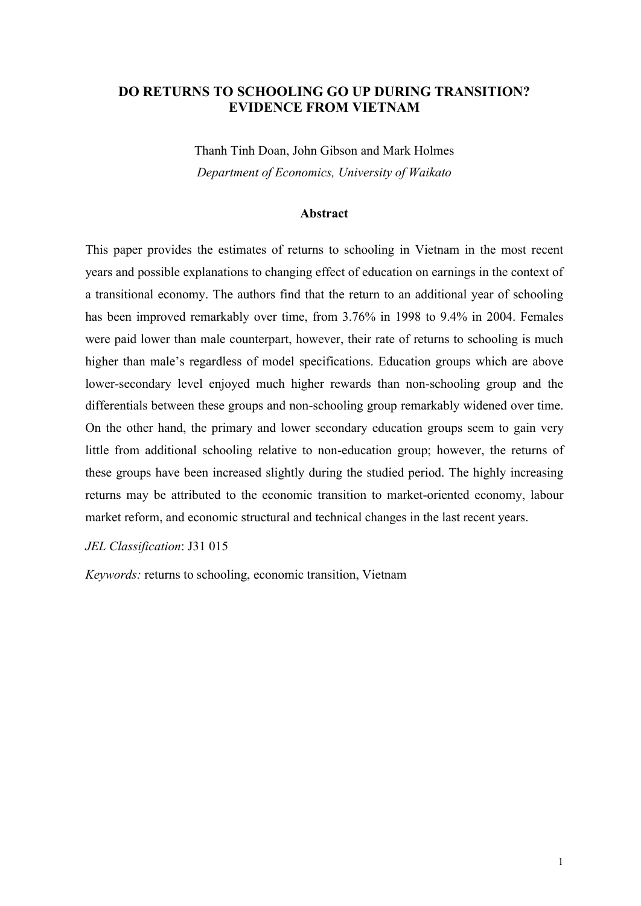# **DO RETURNS TO SCHOOLING GO UP DURING TRANSITION? EVIDENCE FROM VIETNAM**

Thanh Tinh Doan, John Gibson and Mark Holmes *Department of Economics, University of Waikato*

### **Abstract**

This paper provides the estimates of returns to schooling in Vietnam in the most recent years and possible explanations to changing effect of education on earnings in the context of a transitional economy. The authors find that the return to an additional year of schooling has been improved remarkably over time, from 3.76% in 1998 to 9.4% in 2004. Females were paid lower than male counterpart, however, their rate of returns to schooling is much higher than male's regardless of model specifications. Education groups which are above lower-secondary level enjoyed much higher rewards than non-schooling group and the differentials between these groups and non-schooling group remarkably widened over time. On the other hand, the primary and lower secondary education groups seem to gain very little from additional schooling relative to non-education group; however, the returns of these groups have been increased slightly during the studied period. The highly increasing returns may be attributed to the economic transition to market-oriented economy, labour market reform, and economic structural and technical changes in the last recent years.

#### *JEL Classification*: J31 015

*Keywords:* returns to schooling, economic transition, Vietnam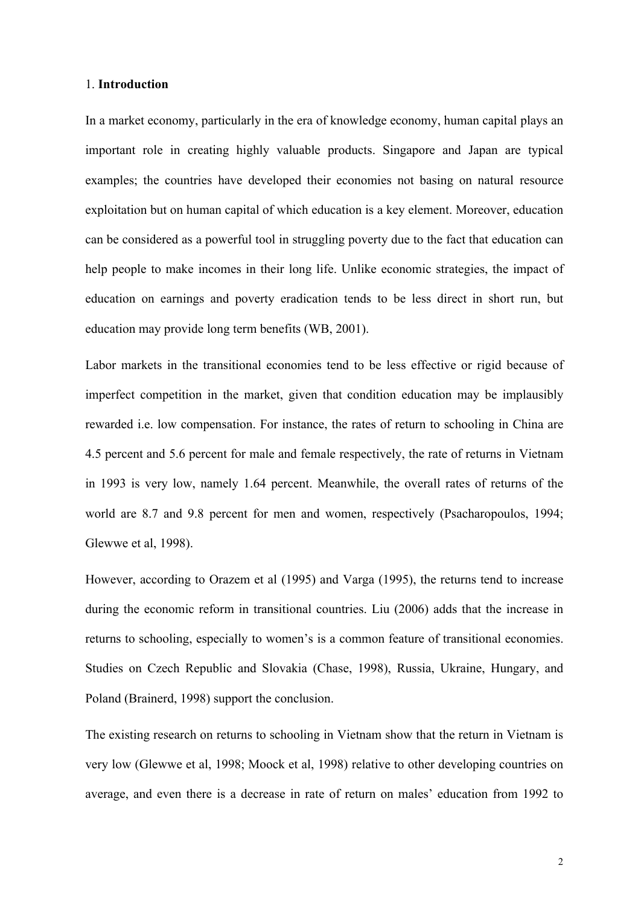#### 1. **Introduction**

In a market economy, particularly in the era of knowledge economy, human capital plays an important role in creating highly valuable products. Singapore and Japan are typical examples; the countries have developed their economies not basing on natural resource exploitation but on human capital of which education is a key element. Moreover, education can be considered as a powerful tool in struggling poverty due to the fact that education can help people to make incomes in their long life. Unlike economic strategies, the impact of education on earnings and poverty eradication tends to be less direct in short run, but education may provide long term benefits (WB, 2001).

Labor markets in the transitional economies tend to be less effective or rigid because of imperfect competition in the market, given that condition education may be implausibly rewarded i.e. low compensation. For instance, the rates of return to schooling in China are 4.5 percent and 5.6 percent for male and female respectively, the rate of returns in Vietnam in 1993 is very low, namely 1.64 percent. Meanwhile, the overall rates of returns of the world are 8.7 and 9.8 percent for men and women, respectively (Psacharopoulos, 1994; Glewwe et al, 1998).

However, according to Orazem et al (1995) and Varga (1995), the returns tend to increase during the economic reform in transitional countries. Liu (2006) adds that the increase in returns to schooling, especially to women's is a common feature of transitional economies. Studies on Czech Republic and Slovakia (Chase, 1998), Russia, Ukraine, Hungary, and Poland (Brainerd, 1998) support the conclusion.

The existing research on returns to schooling in Vietnam show that the return in Vietnam is very low (Glewwe et al, 1998; Moock et al, 1998) relative to other developing countries on average, and even there is a decrease in rate of return on males' education from 1992 to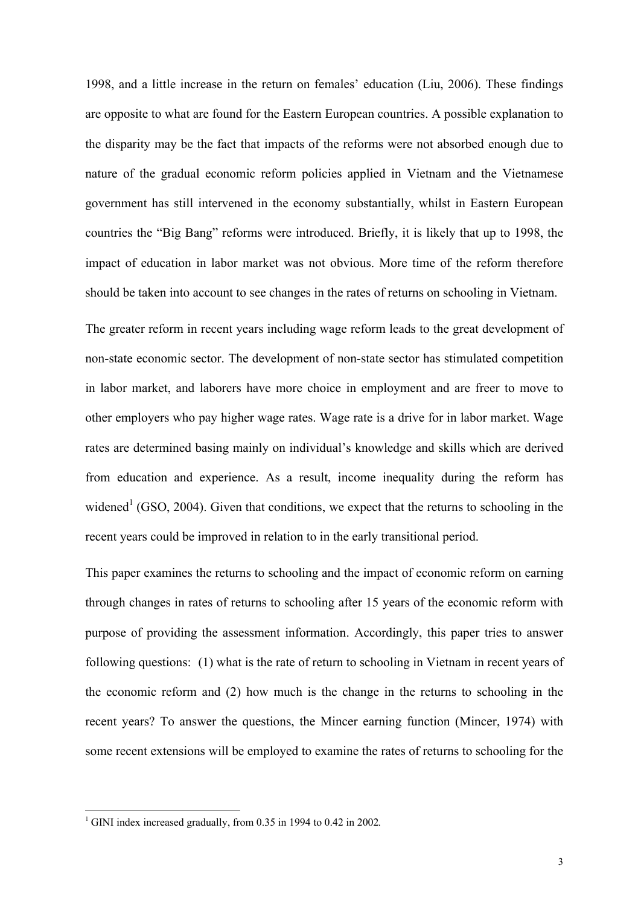1998, and a little increase in the return on females' education (Liu, 2006). These findings are opposite to what are found for the Eastern European countries. A possible explanation to the disparity may be the fact that impacts of the reforms were not absorbed enough due to nature of the gradual economic reform policies applied in Vietnam and the Vietnamese government has still intervened in the economy substantially, whilst in Eastern European countries the "Big Bang" reforms were introduced. Briefly, it is likely that up to 1998, the impact of education in labor market was not obvious. More time of the reform therefore should be taken into account to see changes in the rates of returns on schooling in Vietnam.

The greater reform in recent years including wage reform leads to the great development of non-state economic sector. The development of non-state sector has stimulated competition in labor market, and laborers have more choice in employment and are freer to move to other employers who pay higher wage rates. Wage rate is a drive for in labor market. Wage rates are determined basing mainly on individual's knowledge and skills which are derived from education and experience. As a result, income inequality during the reform has widened<sup>1</sup> (GSO, 2004). Given that conditions, we expect that the returns to schooling in the recent years could be improved in relation to in the early transitional period.

This paper examines the returns to schooling and the impact of economic reform on earning through changes in rates of returns to schooling after 15 years of the economic reform with purpose of providing the assessment information. Accordingly, this paper tries to answer following questions: (1) what is the rate of return to schooling in Vietnam in recent years of the economic reform and (2) how much is the change in the returns to schooling in the recent years? To answer the questions, the Mincer earning function (Mincer, 1974) with some recent extensions will be employed to examine the rates of returns to schooling for the

 $1$  GINI index increased gradually, from 0.35 in 1994 to 0.42 in 2002.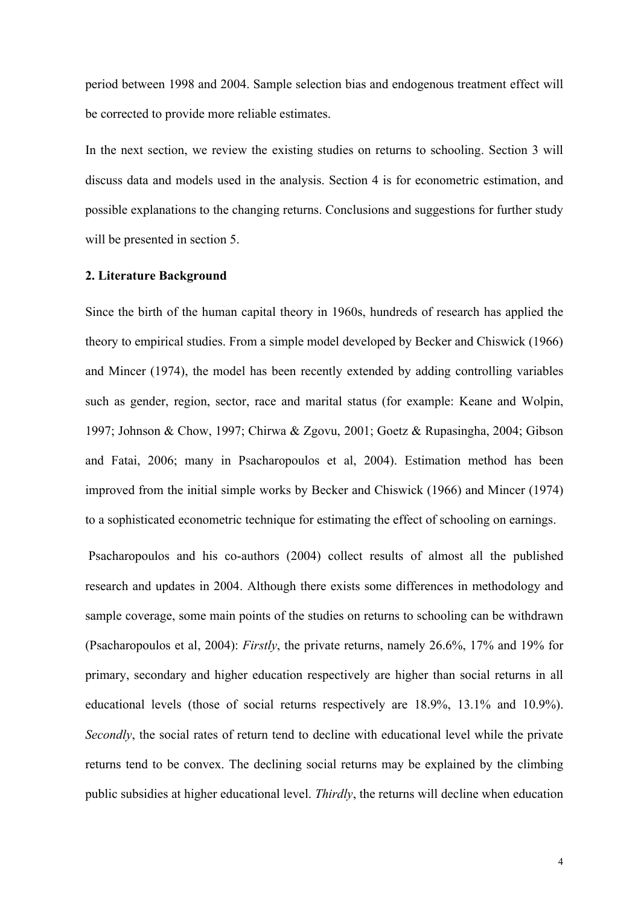period between 1998 and 2004. Sample selection bias and endogenous treatment effect will be corrected to provide more reliable estimates.

In the next section, we review the existing studies on returns to schooling. Section 3 will discuss data and models used in the analysis. Section 4 is for econometric estimation, and possible explanations to the changing returns. Conclusions and suggestions for further study will be presented in section 5.

# **2. Literature Background**

Since the birth of the human capital theory in 1960s, hundreds of research has applied the theory to empirical studies. From a simple model developed by Becker and Chiswick (1966) and Mincer (1974), the model has been recently extended by adding controlling variables such as gender, region, sector, race and marital status (for example: Keane and Wolpin, 1997; Johnson & Chow, 1997; Chirwa & Zgovu, 2001; Goetz & Rupasingha, 2004; Gibson and Fatai, 2006; many in Psacharopoulos et al, 2004). Estimation method has been improved from the initial simple works by Becker and Chiswick (1966) and Mincer (1974) to a sophisticated econometric technique for estimating the effect of schooling on earnings.

Psacharopoulos and his co-authors (2004) collect results of almost all the published research and updates in 2004. Although there exists some differences in methodology and sample coverage, some main points of the studies on returns to schooling can be withdrawn (Psacharopoulos et al, 2004): *Firstly*, the private returns, namely 26.6%, 17% and 19% for primary, secondary and higher education respectively are higher than social returns in all educational levels (those of social returns respectively are 18.9%, 13.1% and 10.9%). *Secondly*, the social rates of return tend to decline with educational level while the private returns tend to be convex. The declining social returns may be explained by the climbing public subsidies at higher educational level. *Thirdly*, the returns will decline when education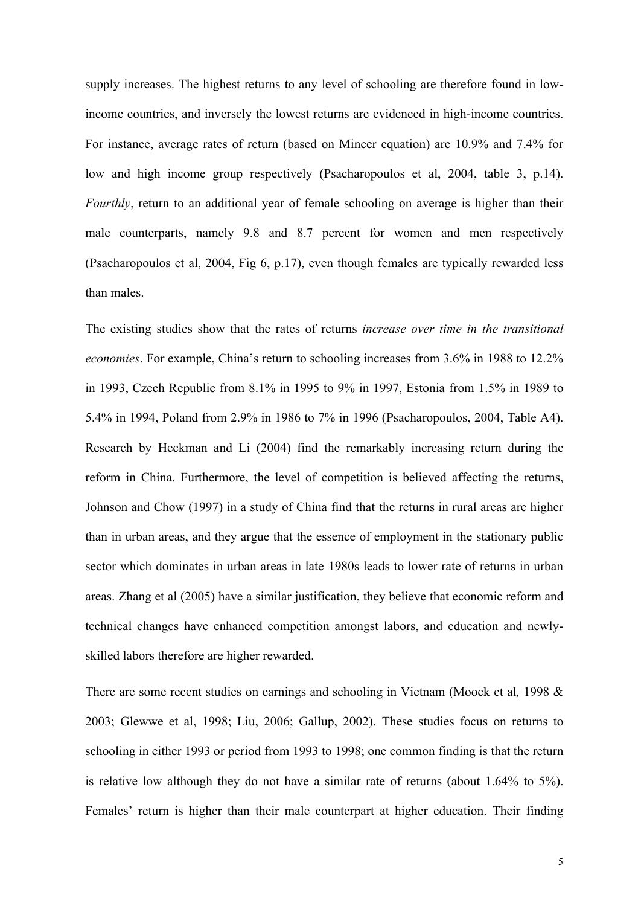supply increases. The highest returns to any level of schooling are therefore found in lowincome countries, and inversely the lowest returns are evidenced in high-income countries. For instance, average rates of return (based on Mincer equation) are 10.9% and 7.4% for low and high income group respectively (Psacharopoulos et al, 2004, table 3, p.14). *Fourthly*, return to an additional year of female schooling on average is higher than their male counterparts, namely 9.8 and 8.7 percent for women and men respectively (Psacharopoulos et al, 2004, Fig 6, p.17), even though females are typically rewarded less than males.

The existing studies show that the rates of returns *increase over time in the transitional economies*. For example, China's return to schooling increases from 3.6% in 1988 to 12.2% in 1993, Czech Republic from 8.1% in 1995 to 9% in 1997, Estonia from 1.5% in 1989 to 5.4% in 1994, Poland from 2.9% in 1986 to 7% in 1996 (Psacharopoulos, 2004, Table A4). Research by Heckman and Li (2004) find the remarkably increasing return during the reform in China. Furthermore, the level of competition is believed affecting the returns, Johnson and Chow (1997) in a study of China find that the returns in rural areas are higher than in urban areas, and they argue that the essence of employment in the stationary public sector which dominates in urban areas in late 1980s leads to lower rate of returns in urban areas. Zhang et al (2005) have a similar justification, they believe that economic reform and technical changes have enhanced competition amongst labors, and education and newlyskilled labors therefore are higher rewarded.

There are some recent studies on earnings and schooling in Vietnam (Moock et al*,* 1998 & 2003; Glewwe et al, 1998; Liu, 2006; Gallup, 2002). These studies focus on returns to schooling in either 1993 or period from 1993 to 1998; one common finding is that the return is relative low although they do not have a similar rate of returns (about 1.64% to 5%). Females' return is higher than their male counterpart at higher education. Their finding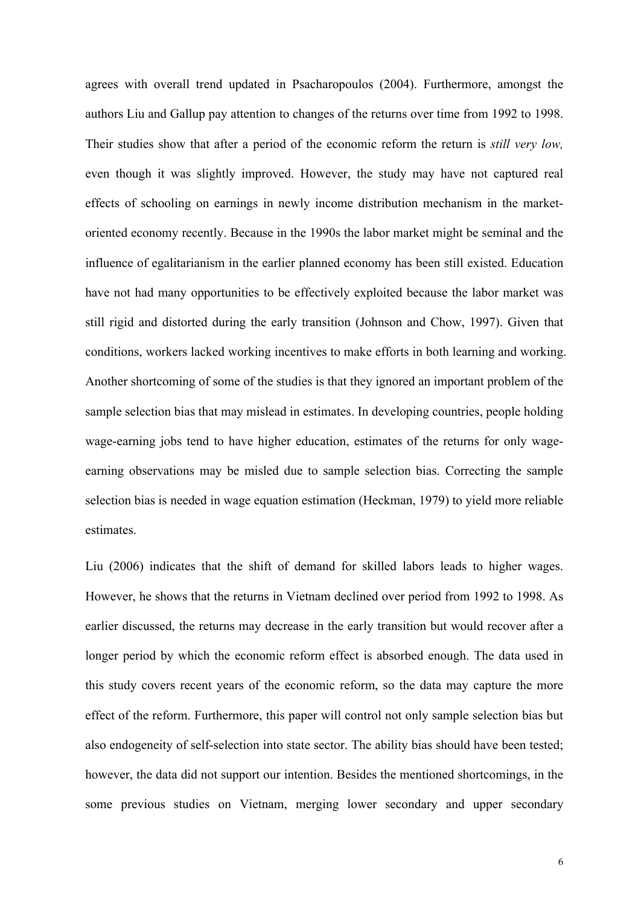agrees with overall trend updated in Psacharopoulos (2004). Furthermore, amongst the authors Liu and Gallup pay attention to changes of the returns over time from 1992 to 1998. Their studies show that after a period of the economic reform the return is *still very low,* even though it was slightly improved. However, the study may have not captured real effects of schooling on earnings in newly income distribution mechanism in the marketoriented economy recently. Because in the 1990s the labor market might be seminal and the influence of egalitarianism in the earlier planned economy has been still existed. Education have not had many opportunities to be effectively exploited because the labor market was still rigid and distorted during the early transition (Johnson and Chow, 1997). Given that conditions, workers lacked working incentives to make efforts in both learning and working. Another shortcoming of some of the studies is that they ignored an important problem of the sample selection bias that may mislead in estimates. In developing countries, people holding wage-earning jobs tend to have higher education, estimates of the returns for only wageearning observations may be misled due to sample selection bias. Correcting the sample selection bias is needed in wage equation estimation (Heckman, 1979) to yield more reliable estimates.

Liu (2006) indicates that the shift of demand for skilled labors leads to higher wages. However, he shows that the returns in Vietnam declined over period from 1992 to 1998. As earlier discussed, the returns may decrease in the early transition but would recover after a longer period by which the economic reform effect is absorbed enough. The data used in this study covers recent years of the economic reform, so the data may capture the more effect of the reform. Furthermore, this paper will control not only sample selection bias but also endogeneity of self-selection into state sector. The ability bias should have been tested; however, the data did not support our intention. Besides the mentioned shortcomings, in the some previous studies on Vietnam, merging lower secondary and upper secondary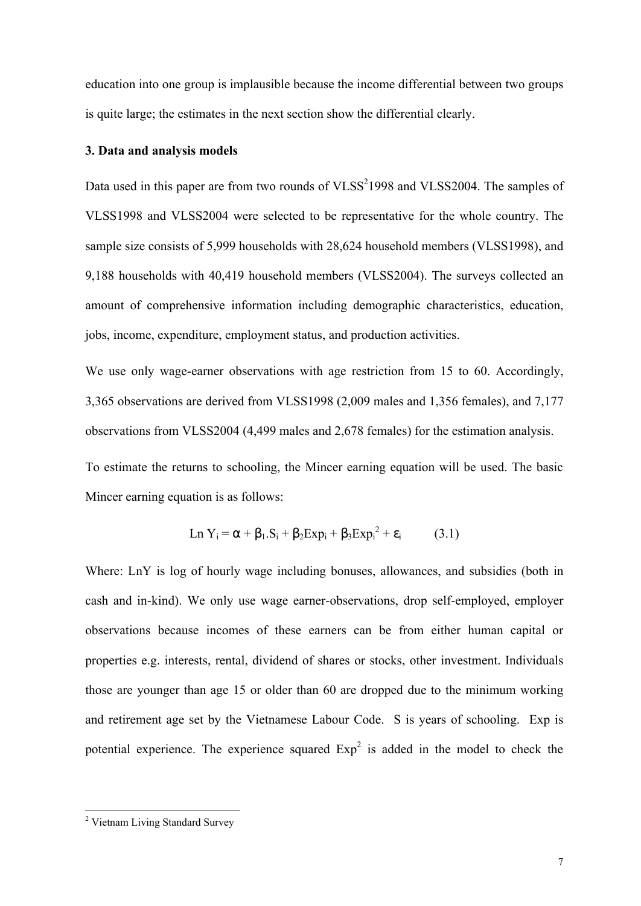education into one group is implausible because the income differential between two groups is quite large; the estimates in the next section show the differential clearly.

#### **3. Data and analysis models**

Data used in this paper are from two rounds of  $VLSS<sup>2</sup>1998$  and  $VLSS<sup>2</sup>004$ . The samples of VLSS1998 and VLSS2004 were selected to be representative for the whole country. The sample size consists of 5,999 households with 28,624 household members (VLSS1998), and 9,188 households with 40,419 household members (VLSS2004). The surveys collected an amount of comprehensive information including demographic characteristics, education, jobs, income, expenditure, employment status, and production activities.

We use only wage-earner observations with age restriction from 15 to 60. Accordingly, 3,365 observations are derived from VLSS1998 (2,009 males and 1,356 females), and 7,177 observations from VLSS2004 (4,499 males and 2,678 females) for the estimation analysis.

To estimate the returns to schooling, the Mincer earning equation will be used. The basic Mincer earning equation is as follows:

$$
Ln Y_i = \alpha + \beta_1.S_i + \beta_2 Exp_i + \beta_3 Exp_i^2 + \varepsilon_i \qquad (3.1)
$$

Where: LnY is log of hourly wage including bonuses, allowances, and subsidies (both in cash and in-kind). We only use wage earner-observations, drop self-employed, employer observations because incomes of these earners can be from either human capital or properties e.g. interests, rental, dividend of shares or stocks, other investment. Individuals those are younger than age 15 or older than 60 are dropped due to the minimum working and retirement age set by the Vietnamese Labour Code. S is years of schooling. Exp is potential experience. The experience squared  $Exp<sup>2</sup>$  is added in the model to check the

<sup>&</sup>lt;sup>2</sup> Vietnam Living Standard Survey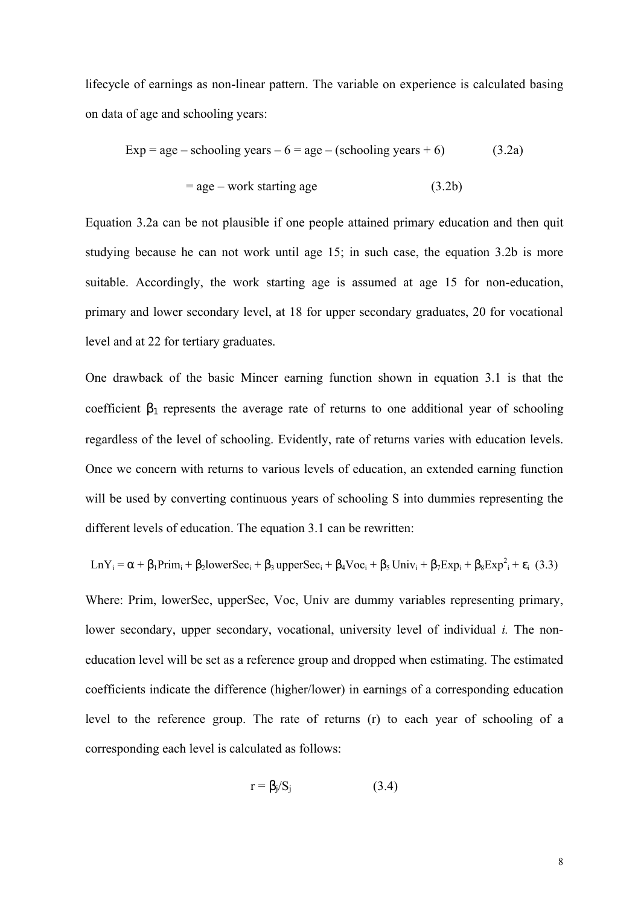lifecycle of earnings as non-linear pattern. The variable on experience is calculated basing on data of age and schooling years:

$$
Exp = age - schooling years - 6 = age - (schooling years + 6)
$$
 (3.2a)  
= age - work starting age (3.2b)

Equation 3.2a can be not plausible if one people attained primary education and then quit studying because he can not work until age 15; in such case, the equation 3.2b is more suitable. Accordingly, the work starting age is assumed at age 15 for non-education, primary and lower secondary level, at 18 for upper secondary graduates, 20 for vocational level and at 22 for tertiary graduates.

One drawback of the basic Mincer earning function shown in equation 3.1 is that the coefficient  $\beta_1$  represents the average rate of returns to one additional year of schooling regardless of the level of schooling. Evidently, rate of returns varies with education levels. Once we concern with returns to various levels of education, an extended earning function will be used by converting continuous years of schooling S into dummies representing the different levels of education. The equation 3.1 can be rewritten:

 $\text{LnY}_i = \alpha + \beta_1 \text{Prim}_i + \beta_2 \text{lowerSec}_i + \beta_3 \text{ upperSec}_i + \beta_4 \text{Voc}_i + \beta_5 \text{Univ}_i + \beta_7 \text{Exp}_i + \beta_8 \text{Exp}^2 + \varepsilon_i$  (3.3)

Where: Prim, lowerSec, upperSec, Voc, Univ are dummy variables representing primary, lower secondary, upper secondary, vocational, university level of individual *i.* The noneducation level will be set as a reference group and dropped when estimating. The estimated coefficients indicate the difference (higher/lower) in earnings of a corresponding education level to the reference group. The rate of returns (r) to each year of schooling of a corresponding each level is calculated as follows:

$$
r = \beta_j / S_j \tag{3.4}
$$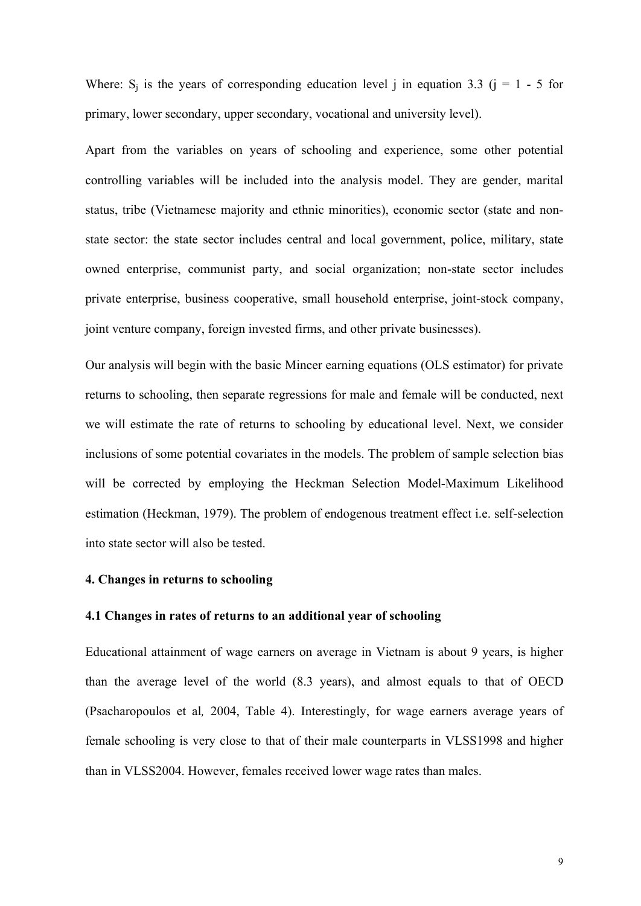Where:  $S_i$  is the years of corresponding education level j in equation 3.3 (j = 1 - 5 for primary, lower secondary, upper secondary, vocational and university level).

Apart from the variables on years of schooling and experience, some other potential controlling variables will be included into the analysis model. They are gender, marital status, tribe (Vietnamese majority and ethnic minorities), economic sector (state and nonstate sector: the state sector includes central and local government, police, military, state owned enterprise, communist party, and social organization; non-state sector includes private enterprise, business cooperative, small household enterprise, joint-stock company, joint venture company, foreign invested firms, and other private businesses).

Our analysis will begin with the basic Mincer earning equations (OLS estimator) for private returns to schooling, then separate regressions for male and female will be conducted, next we will estimate the rate of returns to schooling by educational level. Next, we consider inclusions of some potential covariates in the models. The problem of sample selection bias will be corrected by employing the Heckman Selection Model-Maximum Likelihood estimation (Heckman, 1979). The problem of endogenous treatment effect i.e. self-selection into state sector will also be tested.

## **4. Changes in returns to schooling**

#### **4.1 Changes in rates of returns to an additional year of schooling**

Educational attainment of wage earners on average in Vietnam is about 9 years, is higher than the average level of the world (8.3 years), and almost equals to that of OECD (Psacharopoulos et al*,* 2004, Table 4). Interestingly, for wage earners average years of female schooling is very close to that of their male counterparts in VLSS1998 and higher than in VLSS2004. However, females received lower wage rates than males.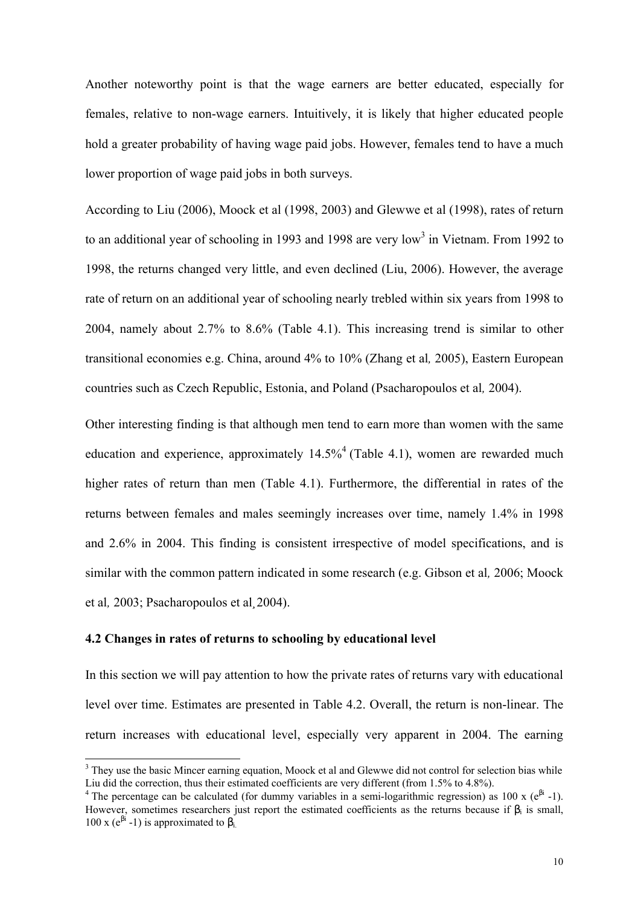Another noteworthy point is that the wage earners are better educated, especially for females, relative to non-wage earners. Intuitively, it is likely that higher educated people hold a greater probability of having wage paid jobs. However, females tend to have a much lower proportion of wage paid jobs in both surveys.

According to Liu (2006), Moock et al (1998, 2003) and Glewwe et al (1998), rates of return to an additional year of schooling in 1993 and 1998 are very low<sup>3</sup> in Vietnam. From 1992 to 1998, the returns changed very little, and even declined (Liu, 2006). However, the average rate of return on an additional year of schooling nearly trebled within six years from 1998 to 2004, namely about 2.7% to 8.6% (Table 4.1). This increasing trend is similar to other transitional economies e.g. China, around 4% to 10% (Zhang et al*,* 2005), Eastern European countries such as Czech Republic, Estonia, and Poland (Psacharopoulos et al*,* 2004).

Other interesting finding is that although men tend to earn more than women with the same education and experience, approximately  $14.5\%$ <sup>4</sup> (Table 4.1), women are rewarded much higher rates of return than men (Table 4.1). Furthermore, the differential in rates of the returns between females and males seemingly increases over time, namely 1.4% in 1998 and 2.6% in 2004. This finding is consistent irrespective of model specifications, and is similar with the common pattern indicated in some research (e.g. Gibson et al*,* 2006; Moock et al*,* 2003; Psacharopoulos et al*¸*2004).

## **4.2 Changes in rates of returns to schooling by educational level**

l

In this section we will pay attention to how the private rates of returns vary with educational level over time. Estimates are presented in Table 4.2. Overall, the return is non-linear. The return increases with educational level, especially very apparent in 2004. The earning

<sup>&</sup>lt;sup>3</sup> They use the basic Mincer earning equation, Moock et al and Glewwe did not control for selection bias while Liu did the correction, thus their estimated coefficients are very different (from 1.5% to 4.8%).

<sup>&</sup>lt;sup>4</sup> The percentage can be calculated (for dummy variables in a semi-logarithmic regression) as 100 x ( $e^{\beta i}$  -1). However, sometimes researchers just report the estimated coefficients as the returns because if  $\beta_i$  is small, 100 x ( $e^{\beta i}$  -1) is approximated to  $\beta_i$ .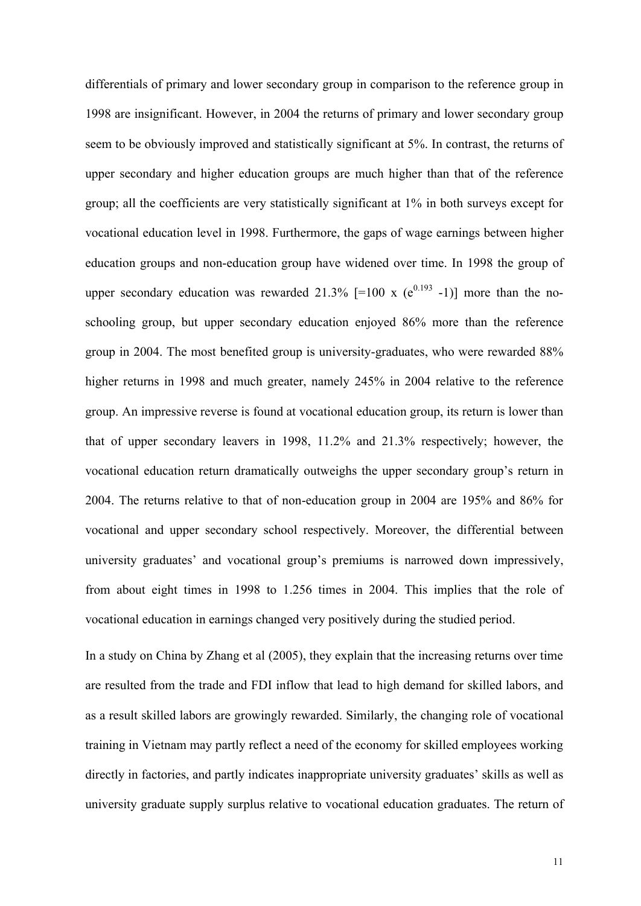differentials of primary and lower secondary group in comparison to the reference group in 1998 are insignificant. However, in 2004 the returns of primary and lower secondary group seem to be obviously improved and statistically significant at 5%. In contrast, the returns of upper secondary and higher education groups are much higher than that of the reference group; all the coefficients are very statistically significant at 1% in both surveys except for vocational education level in 1998. Furthermore, the gaps of wage earnings between higher education groups and non-education group have widened over time. In 1998 the group of upper secondary education was rewarded 21.3%  $[=100 \times (e^{0.193} - 1)]$  more than the noschooling group, but upper secondary education enjoyed 86% more than the reference group in 2004. The most benefited group is university-graduates, who were rewarded 88% higher returns in 1998 and much greater, namely 245% in 2004 relative to the reference group. An impressive reverse is found at vocational education group, its return is lower than that of upper secondary leavers in 1998, 11.2% and 21.3% respectively; however, the vocational education return dramatically outweighs the upper secondary group's return in 2004. The returns relative to that of non-education group in 2004 are 195% and 86% for vocational and upper secondary school respectively. Moreover, the differential between university graduates' and vocational group's premiums is narrowed down impressively, from about eight times in 1998 to 1.256 times in 2004. This implies that the role of vocational education in earnings changed very positively during the studied period.

In a study on China by Zhang et al (2005), they explain that the increasing returns over time are resulted from the trade and FDI inflow that lead to high demand for skilled labors, and as a result skilled labors are growingly rewarded. Similarly, the changing role of vocational training in Vietnam may partly reflect a need of the economy for skilled employees working directly in factories, and partly indicates inappropriate university graduates' skills as well as university graduate supply surplus relative to vocational education graduates. The return of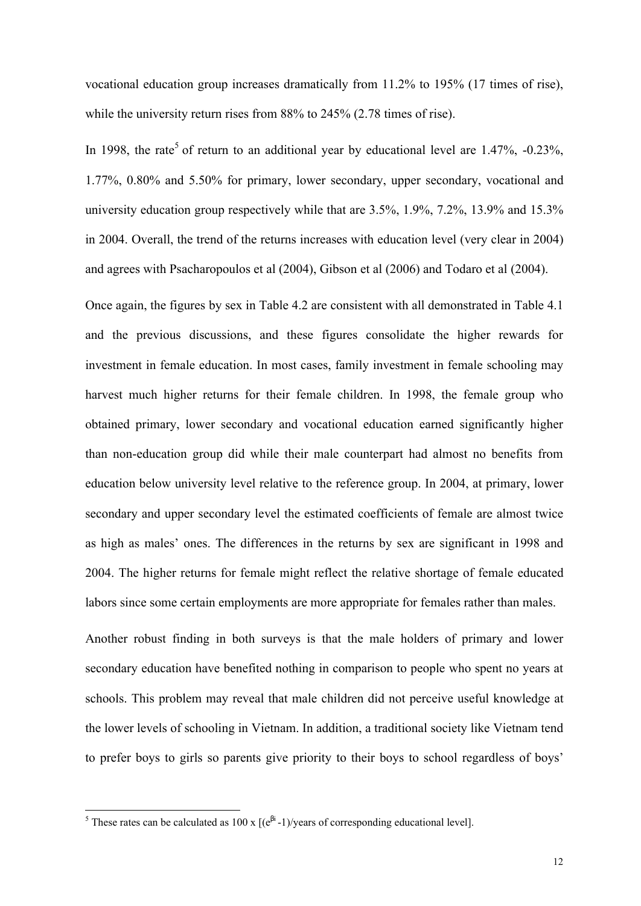vocational education group increases dramatically from 11.2% to 195% (17 times of rise), while the university return rises from 88% to 245% (2.78 times of rise).

In 1998, the rate<sup>5</sup> of return to an additional year by educational level are 1.47%,  $-0.23\%$ , 1.77%, 0.80% and 5.50% for primary, lower secondary, upper secondary, vocational and university education group respectively while that are 3.5%, 1.9%, 7.2%, 13.9% and 15.3% in 2004. Overall, the trend of the returns increases with education level (very clear in 2004) and agrees with Psacharopoulos et al (2004), Gibson et al (2006) and Todaro et al (2004).

Once again, the figures by sex in Table 4.2 are consistent with all demonstrated in Table 4.1 and the previous discussions, and these figures consolidate the higher rewards for investment in female education. In most cases, family investment in female schooling may harvest much higher returns for their female children. In 1998, the female group who obtained primary, lower secondary and vocational education earned significantly higher than non-education group did while their male counterpart had almost no benefits from education below university level relative to the reference group. In 2004, at primary, lower secondary and upper secondary level the estimated coefficients of female are almost twice as high as males' ones. The differences in the returns by sex are significant in 1998 and 2004. The higher returns for female might reflect the relative shortage of female educated labors since some certain employments are more appropriate for females rather than males.

Another robust finding in both surveys is that the male holders of primary and lower secondary education have benefited nothing in comparison to people who spent no years at schools. This problem may reveal that male children did not perceive useful knowledge at the lower levels of schooling in Vietnam. In addition, a traditional society like Vietnam tend to prefer boys to girls so parents give priority to their boys to school regardless of boys'

<sup>&</sup>lt;sup>5</sup> These rates can be calculated as 100 x  $[(e^{βi} - 1)/years$  of corresponding educational level].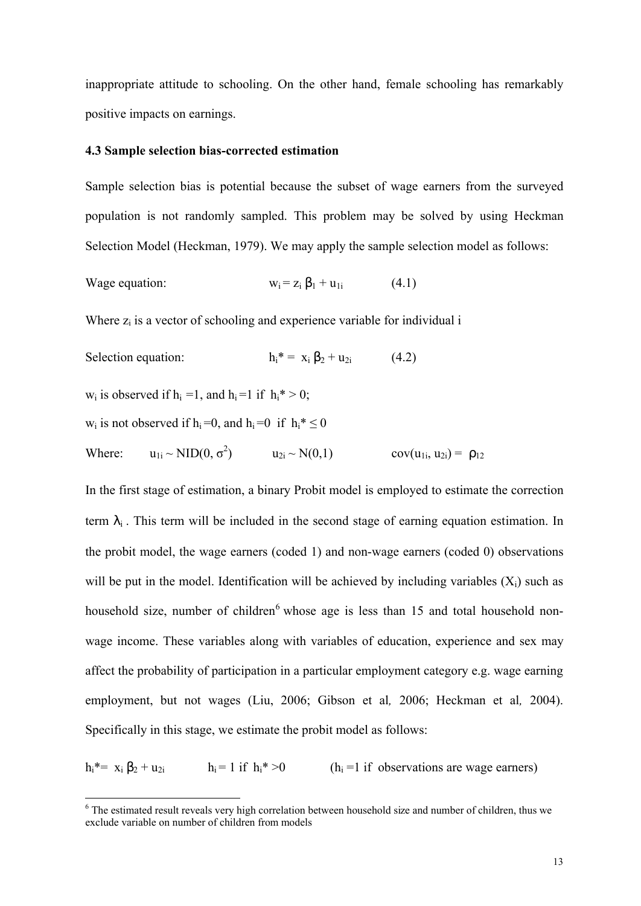inappropriate attitude to schooling. On the other hand, female schooling has remarkably positive impacts on earnings.

#### **4.3 Sample selection bias-corrected estimation**

Sample selection bias is potential because the subset of wage earners from the surveyed population is not randomly sampled. This problem may be solved by using Heckman Selection Model (Heckman, 1979). We may apply the sample selection model as follows:

Wage equation: 
$$
w_i = z_i \beta_1 + u_{1i}
$$
 (4.1)

Where  $z_i$  is a vector of schooling and experience variable for individual  $i$ 

Selection equation: 
$$
h_i^* = x_i \beta_2 + u_{2i}
$$
 (4.2)

 $w_i$  is observed if  $h_i = 1$ , and  $h_i = 1$  if  $h_i^* > 0$ ;

l

$$
w_i
$$
 is not observed if  $h_i=0$ , and  $h_i=0$  if  $h_i^* \leq 0$ 

Where:  $u_{1i} \sim \text{NID}(0, \sigma^2)$   $u_{2i} \sim N(0, 1)$   $cov(u_{1i}, u_{2i}) = \rho_{12}$ 

In the first stage of estimation, a binary Probit model is employed to estimate the correction term  $\lambda_i$ . This term will be included in the second stage of earning equation estimation. In the probit model, the wage earners (coded 1) and non-wage earners (coded 0) observations will be put in the model. Identification will be achieved by including variables  $(X_i)$  such as household size, number of children<sup>6</sup> whose age is less than 15 and total household nonwage income. These variables along with variables of education, experience and sex may affect the probability of participation in a particular employment category e.g. wage earning employment, but not wages (Liu, 2006; Gibson et al*,* 2006; Heckman et al*,* 2004). Specifically in this stage, we estimate the probit model as follows:

 $h_i^* = x_i \beta_2 + u_{2i}$   $h_i = 1$  if  $h_i^* > 0$   $(h_i = 1$  if observations are wage earners)

<sup>&</sup>lt;sup>6</sup> The estimated result reveals very high correlation between household size and number of children, thus we exclude variable on number of children from models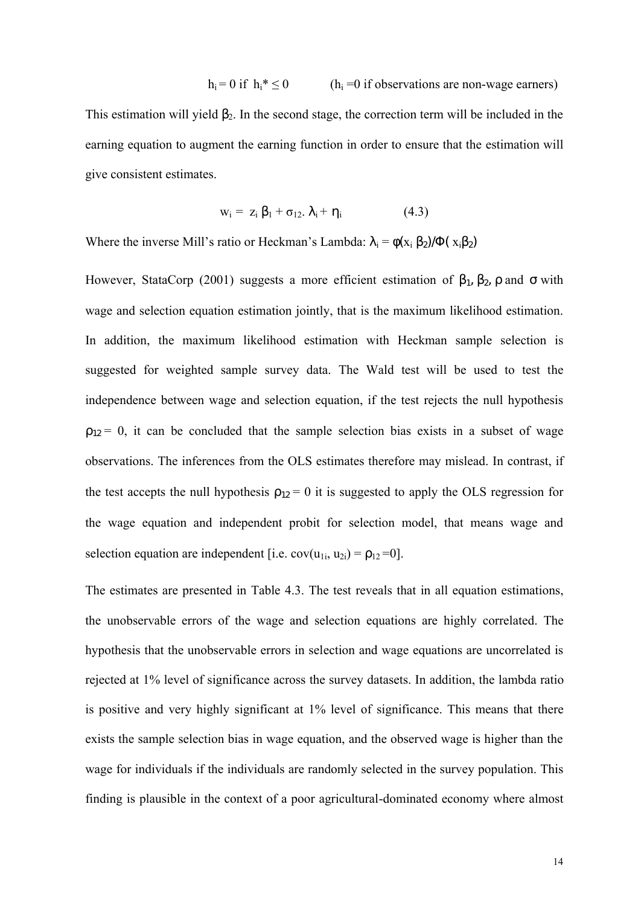$h_i = 0$  if  $h_i^* \le 0$  (h<sub>i</sub> = 0 if observations are non-wage earners) This estimation will yield  $\beta_2$ . In the second stage, the correction term will be included in the earning equation to augment the earning function in order to ensure that the estimation will give consistent estimates.

$$
w_i = z_i \beta_1 + \sigma_{12}. \lambda_i + \eta_i \qquad (4.3)
$$

Where the inverse Mill's ratio or Heckman's Lambda:  $\lambda_i = \phi(x_i \beta_2)/\Phi(x_i \beta_2)$ 

However, StataCorp (2001) suggests a more efficient estimation of  $β_1$ ,  $β_2$ ,  $ρ$  and  $σ$  with wage and selection equation estimation jointly, that is the maximum likelihood estimation. In addition, the maximum likelihood estimation with Heckman sample selection is suggested for weighted sample survey data. The Wald test will be used to test the independence between wage and selection equation, if the test rejects the null hypothesis  $p_{12} = 0$ , it can be concluded that the sample selection bias exists in a subset of wage observations. The inferences from the OLS estimates therefore may mislead. In contrast, if the test accepts the null hypothesis  $\rho_{12} = 0$  it is suggested to apply the OLS regression for the wage equation and independent probit for selection model, that means wage and selection equation are independent [i.e.  $cov(u_{1i}, u_{2i}) = \rho_{12} = 0$ ].

The estimates are presented in Table 4.3. The test reveals that in all equation estimations, the unobservable errors of the wage and selection equations are highly correlated. The hypothesis that the unobservable errors in selection and wage equations are uncorrelated is rejected at 1% level of significance across the survey datasets. In addition, the lambda ratio is positive and very highly significant at 1% level of significance. This means that there exists the sample selection bias in wage equation, and the observed wage is higher than the wage for individuals if the individuals are randomly selected in the survey population. This finding is plausible in the context of a poor agricultural-dominated economy where almost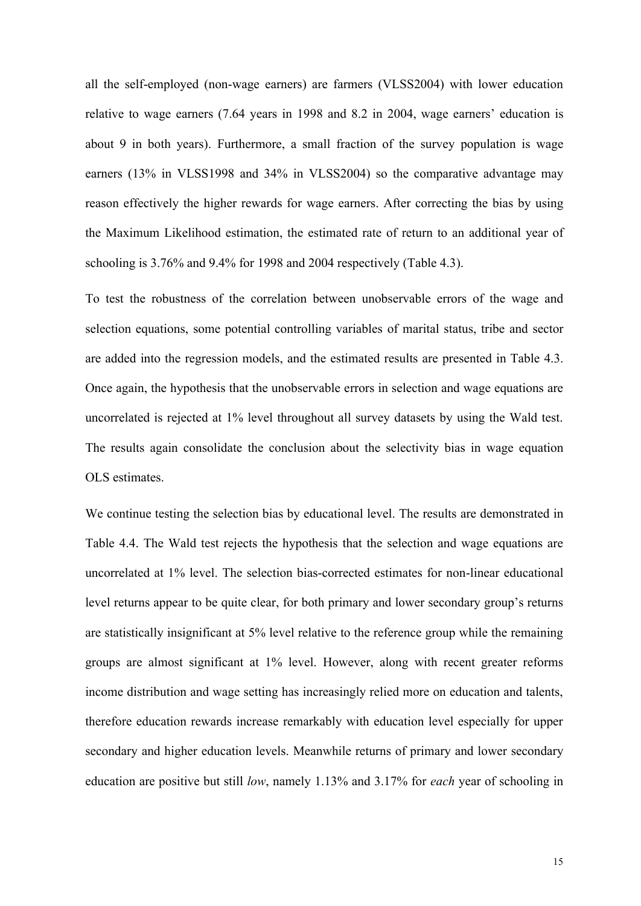all the self-employed (non-wage earners) are farmers (VLSS2004) with lower education relative to wage earners (7.64 years in 1998 and 8.2 in 2004, wage earners' education is about 9 in both years). Furthermore, a small fraction of the survey population is wage earners (13% in VLSS1998 and 34% in VLSS2004) so the comparative advantage may reason effectively the higher rewards for wage earners. After correcting the bias by using the Maximum Likelihood estimation, the estimated rate of return to an additional year of schooling is 3.76% and 9.4% for 1998 and 2004 respectively (Table 4.3).

To test the robustness of the correlation between unobservable errors of the wage and selection equations, some potential controlling variables of marital status, tribe and sector are added into the regression models, and the estimated results are presented in Table 4.3. Once again, the hypothesis that the unobservable errors in selection and wage equations are uncorrelated is rejected at 1% level throughout all survey datasets by using the Wald test. The results again consolidate the conclusion about the selectivity bias in wage equation OLS estimates.

We continue testing the selection bias by educational level. The results are demonstrated in Table 4.4. The Wald test rejects the hypothesis that the selection and wage equations are uncorrelated at 1% level. The selection bias-corrected estimates for non-linear educational level returns appear to be quite clear, for both primary and lower secondary group's returns are statistically insignificant at 5% level relative to the reference group while the remaining groups are almost significant at 1% level. However, along with recent greater reforms income distribution and wage setting has increasingly relied more on education and talents, therefore education rewards increase remarkably with education level especially for upper secondary and higher education levels. Meanwhile returns of primary and lower secondary education are positive but still *low*, namely 1.13% and 3.17% for *each* year of schooling in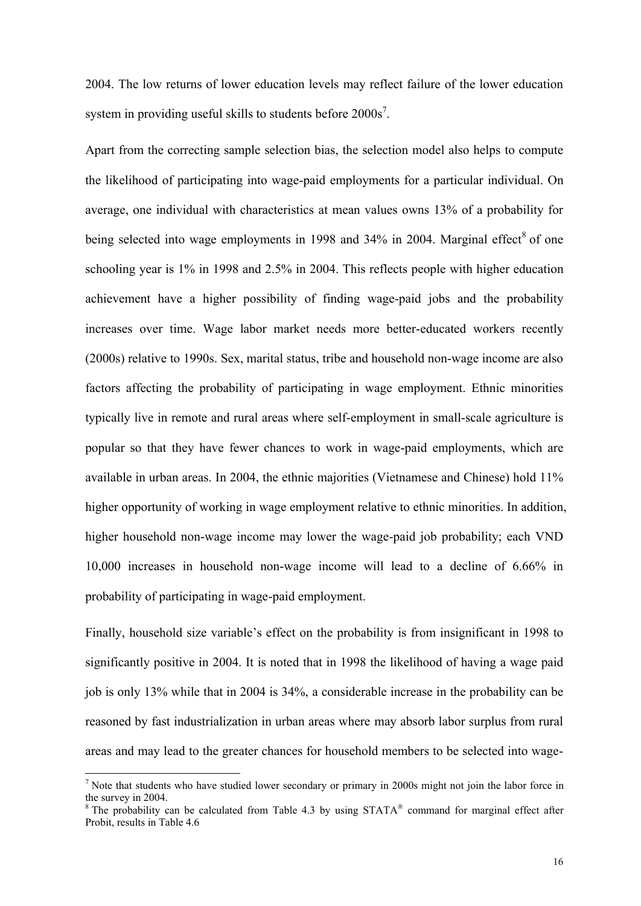2004. The low returns of lower education levels may reflect failure of the lower education system in providing useful skills to students before  $2000s<sup>7</sup>$ .

Apart from the correcting sample selection bias, the selection model also helps to compute the likelihood of participating into wage-paid employments for a particular individual. On average, one individual with characteristics at mean values owns 13% of a probability for being selected into wage employments in 1998 and 34% in 2004. Marginal effect<sup>8</sup> of one schooling year is 1% in 1998 and 2.5% in 2004. This reflects people with higher education achievement have a higher possibility of finding wage-paid jobs and the probability increases over time. Wage labor market needs more better-educated workers recently (2000s) relative to 1990s. Sex, marital status, tribe and household non-wage income are also factors affecting the probability of participating in wage employment. Ethnic minorities typically live in remote and rural areas where self-employment in small-scale agriculture is popular so that they have fewer chances to work in wage-paid employments, which are available in urban areas. In 2004, the ethnic majorities (Vietnamese and Chinese) hold 11% higher opportunity of working in wage employment relative to ethnic minorities. In addition, higher household non-wage income may lower the wage-paid job probability; each VND 10,000 increases in household non-wage income will lead to a decline of 6.66% in probability of participating in wage-paid employment.

Finally, household size variable's effect on the probability is from insignificant in 1998 to significantly positive in 2004. It is noted that in 1998 the likelihood of having a wage paid job is only 13% while that in 2004 is 34%, a considerable increase in the probability can be reasoned by fast industrialization in urban areas where may absorb labor surplus from rural areas and may lead to the greater chances for household members to be selected into wage-

 $<sup>7</sup>$  Note that students who have studied lower secondary or primary in 2000s might not join the labor force in</sup> the survey in 2004.

 $8$  The probability can be calculated from Table 4.3 by using STATA $8$  command for marginal effect after Probit, results in Table 4.6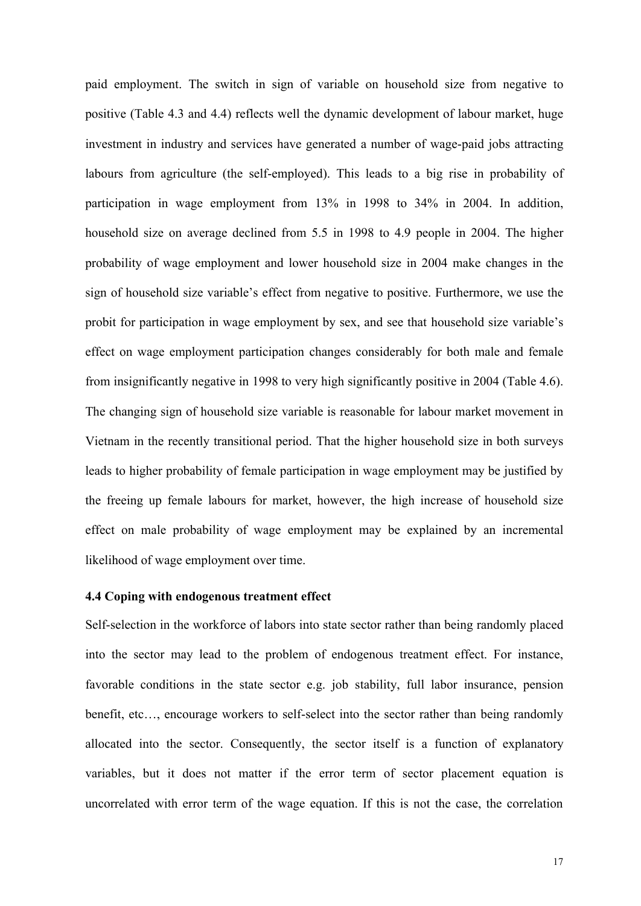paid employment. The switch in sign of variable on household size from negative to positive (Table 4.3 and 4.4) reflects well the dynamic development of labour market, huge investment in industry and services have generated a number of wage-paid jobs attracting labours from agriculture (the self-employed). This leads to a big rise in probability of participation in wage employment from 13% in 1998 to 34% in 2004. In addition, household size on average declined from 5.5 in 1998 to 4.9 people in 2004. The higher probability of wage employment and lower household size in 2004 make changes in the sign of household size variable's effect from negative to positive. Furthermore, we use the probit for participation in wage employment by sex, and see that household size variable's effect on wage employment participation changes considerably for both male and female from insignificantly negative in 1998 to very high significantly positive in 2004 (Table 4.6). The changing sign of household size variable is reasonable for labour market movement in Vietnam in the recently transitional period. That the higher household size in both surveys leads to higher probability of female participation in wage employment may be justified by the freeing up female labours for market, however, the high increase of household size effect on male probability of wage employment may be explained by an incremental likelihood of wage employment over time.

#### **4.4 Coping with endogenous treatment effect**

Self-selection in the workforce of labors into state sector rather than being randomly placed into the sector may lead to the problem of endogenous treatment effect. For instance, favorable conditions in the state sector e.g. job stability, full labor insurance, pension benefit, etc…, encourage workers to self-select into the sector rather than being randomly allocated into the sector. Consequently, the sector itself is a function of explanatory variables, but it does not matter if the error term of sector placement equation is uncorrelated with error term of the wage equation. If this is not the case, the correlation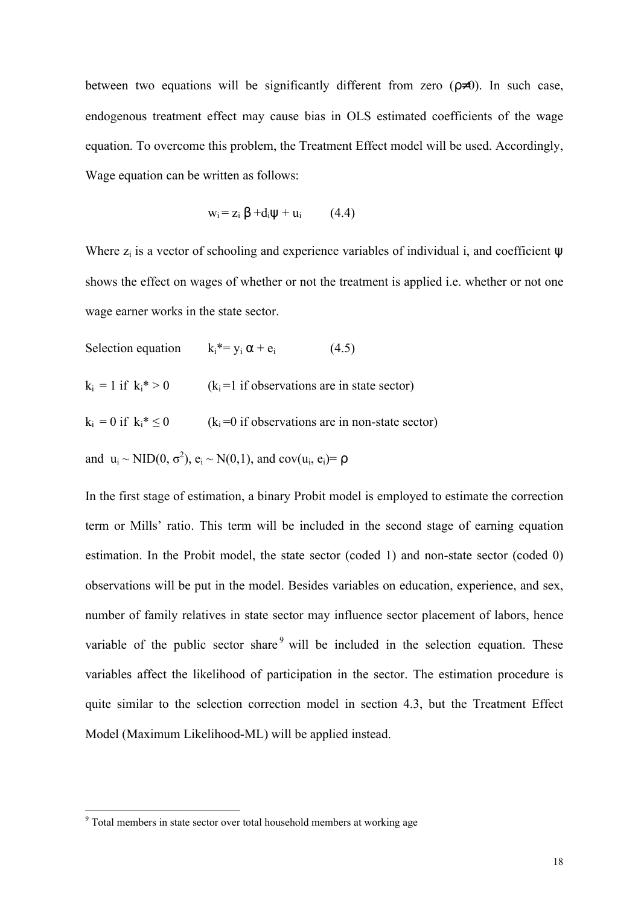between two equations will be significantly different from zero  $(\rho \neq 0)$ . In such case, endogenous treatment effect may cause bias in OLS estimated coefficients of the wage equation. To overcome this problem, the Treatment Effect model will be used. Accordingly, Wage equation can be written as follows:

$$
w_i = z_i \beta + d_i \psi + u_i \qquad (4.4)
$$

Where  $z_i$  is a vector of schooling and experience variables of individual i, and coefficient  $\psi$ shows the effect on wages of whether or not the treatment is applied i.e. whether or not one wage earner works in the state sector.

- Selection equation  $k_i^* = y_i \alpha + e_i$  (4.5)
- $k_i = 1$  if  $k_i^* > 0$  ( $k_i = 1$  if observations are in state sector)
- $k_i = 0$  if  $k_i^* \le 0$  ( $k_i = 0$  if observations are in non-state sector)

and  $u_i \sim \text{NID}(0, \sigma^2)$ ,  $e_i \sim \text{N}(0, 1)$ , and cov $(u_i, e_i) = \rho$ 

In the first stage of estimation, a binary Probit model is employed to estimate the correction term or Mills' ratio. This term will be included in the second stage of earning equation estimation. In the Probit model, the state sector (coded 1) and non-state sector (coded 0) observations will be put in the model. Besides variables on education, experience, and sex, number of family relatives in state sector may influence sector placement of labors, hence variable of the public sector share  $9$  will be included in the selection equation. These variables affect the likelihood of participation in the sector. The estimation procedure is quite similar to the selection correction model in section 4.3, but the Treatment Effect Model (Maximum Likelihood-ML) will be applied instead.

 $9$  Total members in state sector over total household members at working age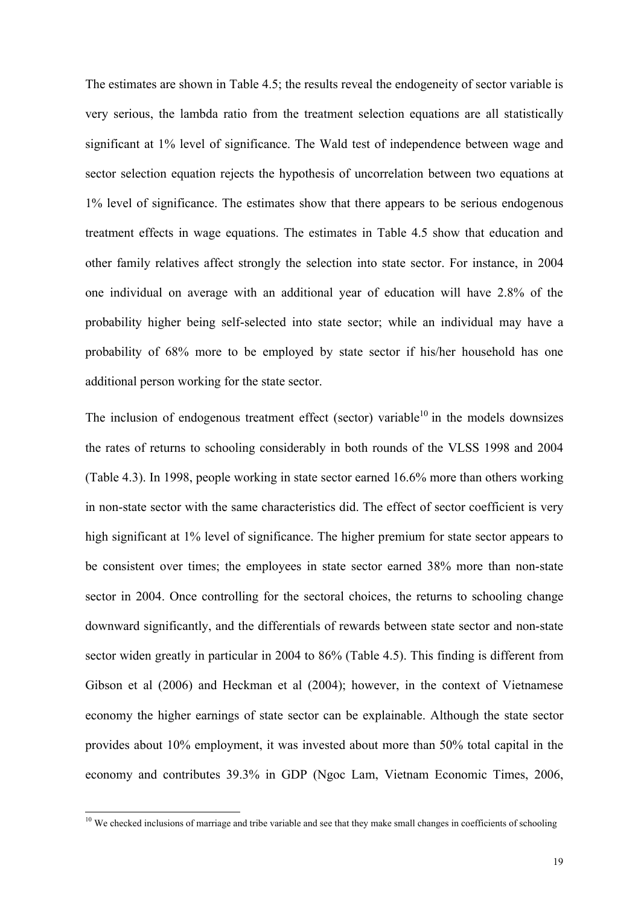The estimates are shown in Table 4.5; the results reveal the endogeneity of sector variable is very serious, the lambda ratio from the treatment selection equations are all statistically significant at 1% level of significance. The Wald test of independence between wage and sector selection equation rejects the hypothesis of uncorrelation between two equations at 1% level of significance. The estimates show that there appears to be serious endogenous treatment effects in wage equations. The estimates in Table 4.5 show that education and other family relatives affect strongly the selection into state sector. For instance, in 2004 one individual on average with an additional year of education will have 2.8% of the probability higher being self-selected into state sector; while an individual may have a probability of 68% more to be employed by state sector if his/her household has one additional person working for the state sector.

The inclusion of endogenous treatment effect (sector) variable<sup>10</sup> in the models downsizes the rates of returns to schooling considerably in both rounds of the VLSS 1998 and 2004 (Table 4.3). In 1998, people working in state sector earned 16.6% more than others working in non-state sector with the same characteristics did. The effect of sector coefficient is very high significant at 1% level of significance. The higher premium for state sector appears to be consistent over times; the employees in state sector earned 38% more than non-state sector in 2004. Once controlling for the sectoral choices, the returns to schooling change downward significantly, and the differentials of rewards between state sector and non-state sector widen greatly in particular in 2004 to 86% (Table 4.5). This finding is different from Gibson et al (2006) and Heckman et al (2004); however, in the context of Vietnamese economy the higher earnings of state sector can be explainable. Although the state sector provides about 10% employment, it was invested about more than 50% total capital in the economy and contributes 39.3% in GDP (Ngoc Lam, Vietnam Economic Times, 2006,

 $10$  We checked inclusions of marriage and tribe variable and see that they make small changes in coefficients of schooling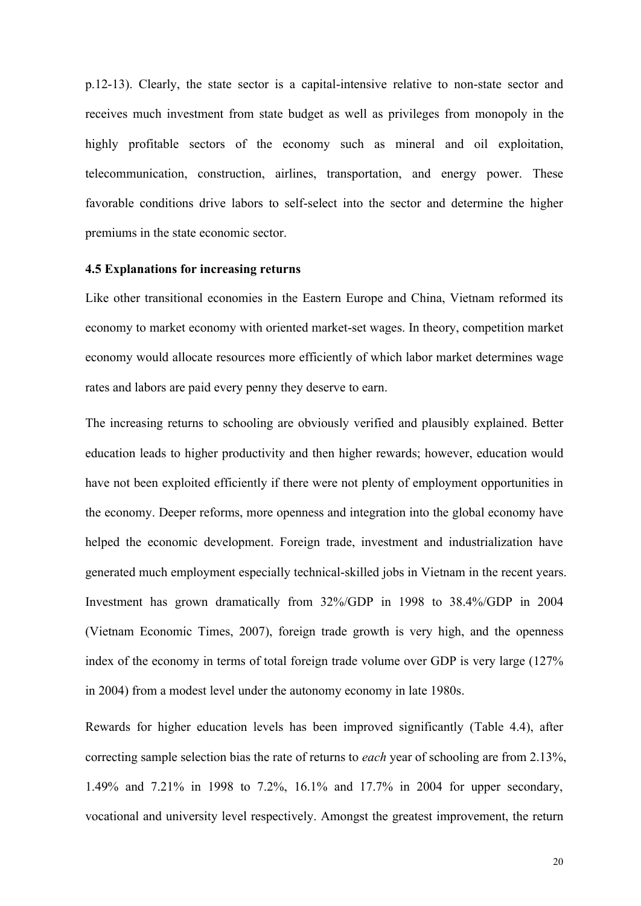p.12-13). Clearly, the state sector is a capital-intensive relative to non-state sector and receives much investment from state budget as well as privileges from monopoly in the highly profitable sectors of the economy such as mineral and oil exploitation, telecommunication, construction, airlines, transportation, and energy power. These favorable conditions drive labors to self-select into the sector and determine the higher premiums in the state economic sector.

#### **4.5 Explanations for increasing returns**

Like other transitional economies in the Eastern Europe and China, Vietnam reformed its economy to market economy with oriented market-set wages. In theory, competition market economy would allocate resources more efficiently of which labor market determines wage rates and labors are paid every penny they deserve to earn.

The increasing returns to schooling are obviously verified and plausibly explained. Better education leads to higher productivity and then higher rewards; however, education would have not been exploited efficiently if there were not plenty of employment opportunities in the economy. Deeper reforms, more openness and integration into the global economy have helped the economic development. Foreign trade, investment and industrialization have generated much employment especially technical-skilled jobs in Vietnam in the recent years. Investment has grown dramatically from 32%/GDP in 1998 to 38.4%/GDP in 2004 (Vietnam Economic Times, 2007), foreign trade growth is very high, and the openness index of the economy in terms of total foreign trade volume over GDP is very large (127% in 2004) from a modest level under the autonomy economy in late 1980s.

Rewards for higher education levels has been improved significantly (Table 4.4), after correcting sample selection bias the rate of returns to *each* year of schooling are from 2.13%, 1.49% and 7.21% in 1998 to 7.2%, 16.1% and 17.7% in 2004 for upper secondary, vocational and university level respectively. Amongst the greatest improvement, the return

20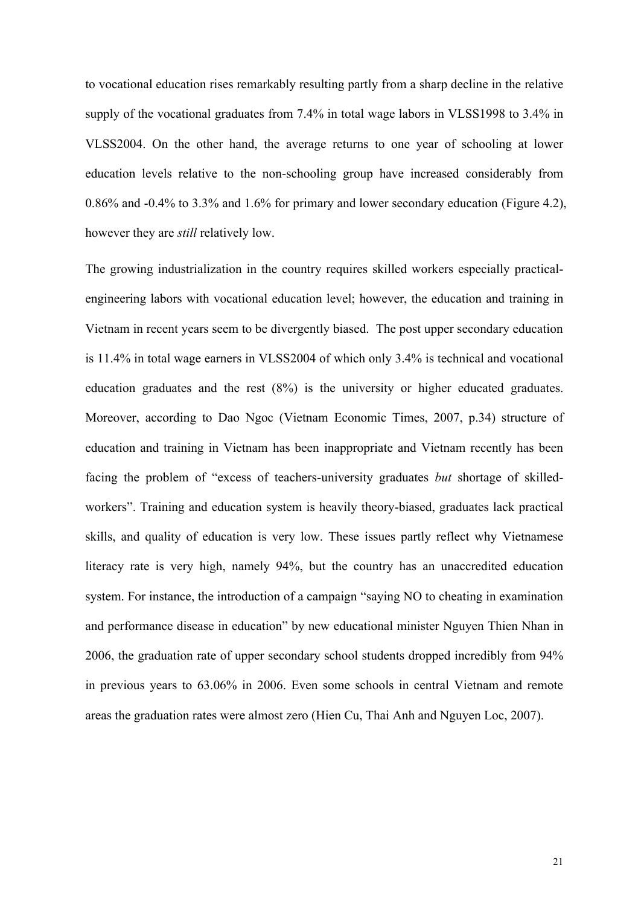to vocational education rises remarkably resulting partly from a sharp decline in the relative supply of the vocational graduates from 7.4% in total wage labors in VLSS1998 to 3.4% in VLSS2004. On the other hand, the average returns to one year of schooling at lower education levels relative to the non-schooling group have increased considerably from 0.86% and -0.4% to 3.3% and 1.6% for primary and lower secondary education (Figure 4.2), however they are *still* relatively low.

The growing industrialization in the country requires skilled workers especially practicalengineering labors with vocational education level; however, the education and training in Vietnam in recent years seem to be divergently biased. The post upper secondary education is 11.4% in total wage earners in VLSS2004 of which only 3.4% is technical and vocational education graduates and the rest (8%) is the university or higher educated graduates. Moreover, according to Dao Ngoc (Vietnam Economic Times, 2007, p.34) structure of education and training in Vietnam has been inappropriate and Vietnam recently has been facing the problem of "excess of teachers-university graduates *but* shortage of skilledworkers". Training and education system is heavily theory-biased, graduates lack practical skills, and quality of education is very low. These issues partly reflect why Vietnamese literacy rate is very high, namely 94%, but the country has an unaccredited education system. For instance, the introduction of a campaign "saying NO to cheating in examination and performance disease in education" by new educational minister Nguyen Thien Nhan in 2006, the graduation rate of upper secondary school students dropped incredibly from 94% in previous years to 63.06% in 2006. Even some schools in central Vietnam and remote areas the graduation rates were almost zero (Hien Cu, Thai Anh and Nguyen Loc, 2007).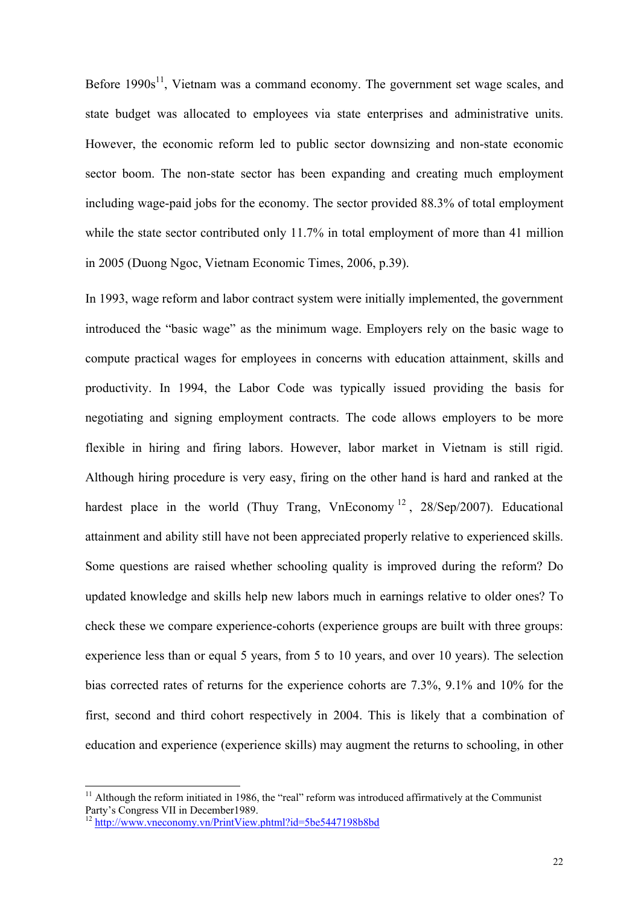Before  $1990s^{11}$ , Vietnam was a command economy. The government set wage scales, and state budget was allocated to employees via state enterprises and administrative units. However, the economic reform led to public sector downsizing and non-state economic sector boom. The non-state sector has been expanding and creating much employment including wage-paid jobs for the economy. The sector provided 88.3% of total employment while the state sector contributed only 11.7% in total employment of more than 41 million in 2005 (Duong Ngoc, Vietnam Economic Times, 2006, p.39).

In 1993, wage reform and labor contract system were initially implemented, the government introduced the "basic wage" as the minimum wage. Employers rely on the basic wage to compute practical wages for employees in concerns with education attainment, skills and productivity. In 1994, the Labor Code was typically issued providing the basis for negotiating and signing employment contracts. The code allows employers to be more flexible in hiring and firing labors. However, labor market in Vietnam is still rigid. Although hiring procedure is very easy, firing on the other hand is hard and ranked at the hardest place in the world (Thuy Trang, VnEconomy<sup>12</sup>, 28/Sep/2007). Educational attainment and ability still have not been appreciated properly relative to experienced skills. Some questions are raised whether schooling quality is improved during the reform? Do updated knowledge and skills help new labors much in earnings relative to older ones? To check these we compare experience-cohorts (experience groups are built with three groups: experience less than or equal 5 years, from 5 to 10 years, and over 10 years). The selection bias corrected rates of returns for the experience cohorts are 7.3%, 9.1% and 10% for the first, second and third cohort respectively in 2004. This is likely that a combination of education and experience (experience skills) may augment the returns to schooling, in other

 $11$  Although the reform initiated in 1986, the "real" reform was introduced affirmatively at the Communist Party's Congress VII in December1989.

<sup>12</sup> http://www.vneconomy.vn/PrintView.phtml?id=5be5447198b8bd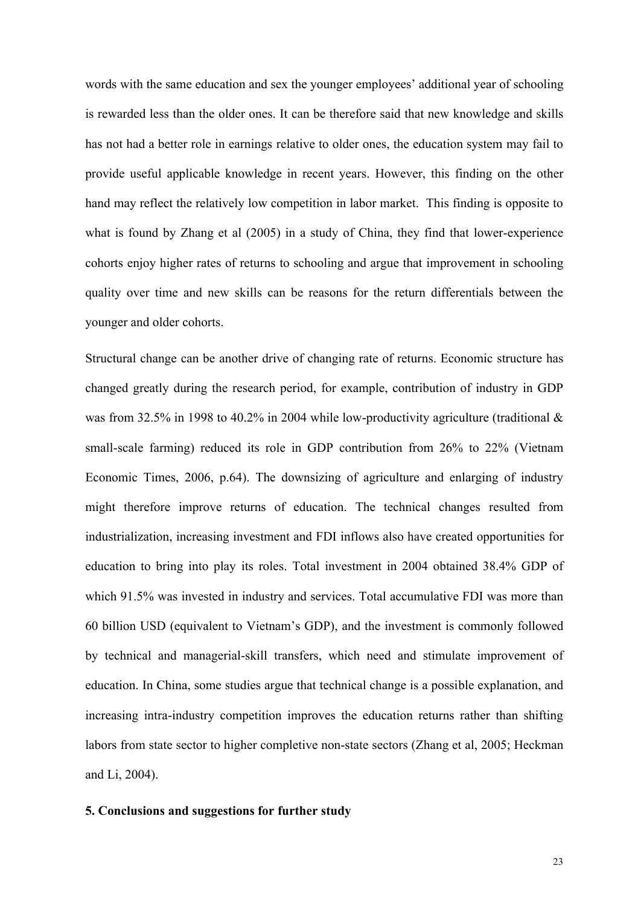words with the same education and sex the younger employees' additional year of schooling is rewarded less than the older ones. It can be therefore said that new knowledge and skills has not had a better role in earnings relative to older ones, the education system may fail to provide useful applicable knowledge in recent years. However, this finding on the other hand may reflect the relatively low competition in labor market. This finding is opposite to what is found by Zhang et al (2005) in a study of China, they find that lower-experience cohorts enjoy higher rates of returns to schooling and argue that improvement in schooling quality over time and new skills can be reasons for the return differentials between the younger and older cohorts.

Structural change can be another drive of changing rate of returns. Economic structure has changed greatly during the research period, for example, contribution of industry in GDP was from 32.5% in 1998 to 40.2% in 2004 while low-productivity agriculture (traditional  $\&$ small-scale farming) reduced its role in GDP contribution from 26% to 22% (Vietnam Economic Times, 2006, p.64). The downsizing of agriculture and enlarging of industry might therefore improve returns of education. The technical changes resulted from industrialization, increasing investment and FDI inflows also have created opportunities for education to bring into play its roles. Total investment in 2004 obtained 38.4% GDP of which 91.5% was invested in industry and services. Total accumulative FDI was more than 60 billion USD (equivalent to Vietnam's GDP), and the investment is commonly followed by technical and managerial-skill transfers, which need and stimulate improvement of education. In China, some studies argue that technical change is a possible explanation, and increasing intra-industry competition improves the education returns rather than shifting labors from state sector to higher completive non-state sectors (Zhang et al, 2005; Heckman and Li, 2004).

# **5. Conclusions and suggestions for further study**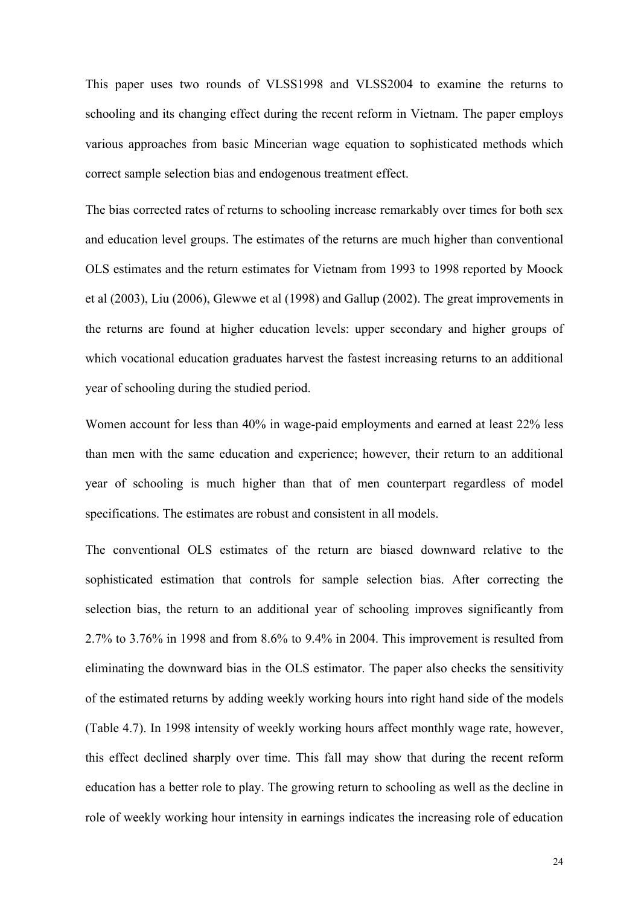This paper uses two rounds of VLSS1998 and VLSS2004 to examine the returns to schooling and its changing effect during the recent reform in Vietnam. The paper employs various approaches from basic Mincerian wage equation to sophisticated methods which correct sample selection bias and endogenous treatment effect.

The bias corrected rates of returns to schooling increase remarkably over times for both sex and education level groups. The estimates of the returns are much higher than conventional OLS estimates and the return estimates for Vietnam from 1993 to 1998 reported by Moock et al (2003), Liu (2006), Glewwe et al (1998) and Gallup (2002). The great improvements in the returns are found at higher education levels: upper secondary and higher groups of which vocational education graduates harvest the fastest increasing returns to an additional year of schooling during the studied period.

Women account for less than 40% in wage-paid employments and earned at least 22% less than men with the same education and experience; however, their return to an additional year of schooling is much higher than that of men counterpart regardless of model specifications. The estimates are robust and consistent in all models.

The conventional OLS estimates of the return are biased downward relative to the sophisticated estimation that controls for sample selection bias. After correcting the selection bias, the return to an additional year of schooling improves significantly from 2.7% to 3.76% in 1998 and from 8.6% to 9.4% in 2004. This improvement is resulted from eliminating the downward bias in the OLS estimator. The paper also checks the sensitivity of the estimated returns by adding weekly working hours into right hand side of the models (Table 4.7). In 1998 intensity of weekly working hours affect monthly wage rate, however, this effect declined sharply over time. This fall may show that during the recent reform education has a better role to play. The growing return to schooling as well as the decline in role of weekly working hour intensity in earnings indicates the increasing role of education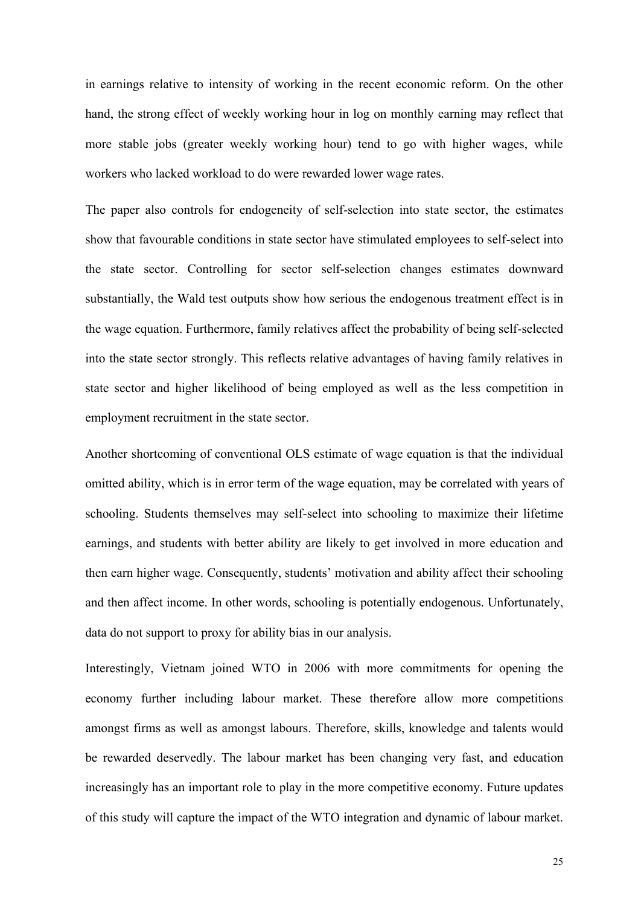in earnings relative to intensity of working in the recent economic reform. On the other hand, the strong effect of weekly working hour in log on monthly earning may reflect that more stable jobs (greater weekly working hour) tend to go with higher wages, while workers who lacked workload to do were rewarded lower wage rates.

The paper also controls for endogeneity of self-selection into state sector, the estimates show that favourable conditions in state sector have stimulated employees to self-select into the state sector. Controlling for sector self-selection changes estimates downward substantially, the Wald test outputs show how serious the endogenous treatment effect is in the wage equation. Furthermore, family relatives affect the probability of being self-selected into the state sector strongly. This reflects relative advantages of having family relatives in state sector and higher likelihood of being employed as well as the less competition in employment recruitment in the state sector.

Another shortcoming of conventional OLS estimate of wage equation is that the individual omitted ability, which is in error term of the wage equation, may be correlated with years of schooling. Students themselves may self-select into schooling to maximize their lifetime earnings, and students with better ability are likely to get involved in more education and then earn higher wage. Consequently, students' motivation and ability affect their schooling and then affect income. In other words, schooling is potentially endogenous. Unfortunately, data do not support to proxy for ability bias in our analysis.

Interestingly, Vietnam joined WTO in 2006 with more commitments for opening the economy further including labour market. These therefore allow more competitions amongst firms as well as amongst labours. Therefore, skills, knowledge and talents would be rewarded deservedly. The labour market has been changing very fast, and education increasingly has an important role to play in the more competitive economy. Future updates of this study will capture the impact of the WTO integration and dynamic of labour market.